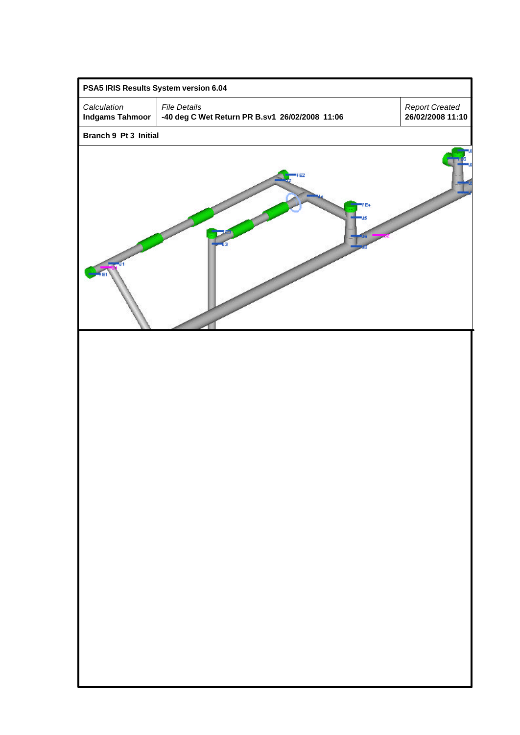| PSA5 IRIS Results System version 6.04 |                                                                       |  |                                           |  |  |  |  |  |  |
|---------------------------------------|-----------------------------------------------------------------------|--|-------------------------------------------|--|--|--|--|--|--|
| Calculation<br><b>Indgams Tahmoor</b> | <b>File Details</b><br>-40 deg C Wet Return PR B.sv1 26/02/2008 11:06 |  | <b>Report Created</b><br>26/02/2008 11:10 |  |  |  |  |  |  |
| Branch 9 Pt 3 Initial                 |                                                                       |  |                                           |  |  |  |  |  |  |
|                                       |                                                                       |  |                                           |  |  |  |  |  |  |
|                                       |                                                                       |  |                                           |  |  |  |  |  |  |